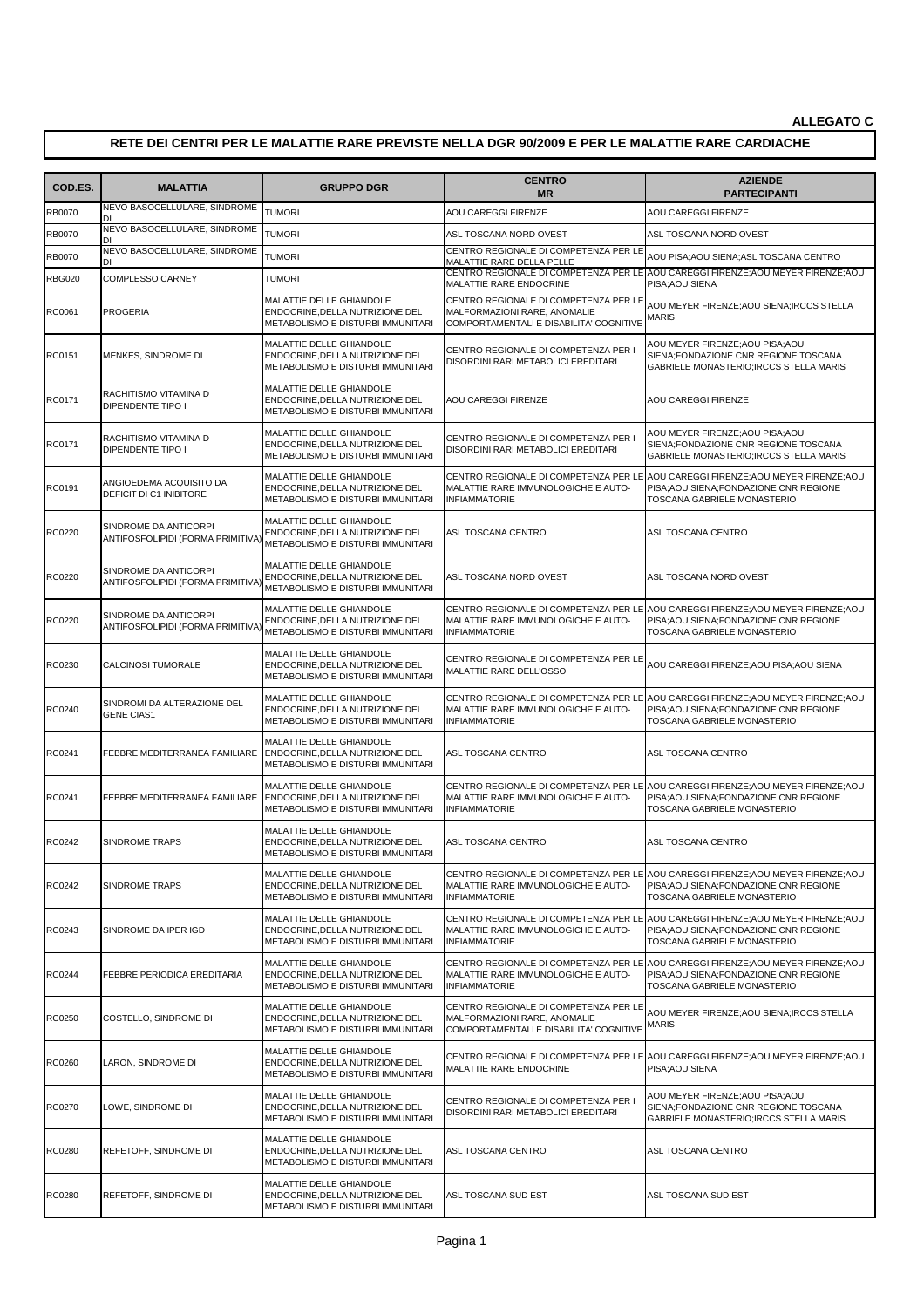## **RETE DEI CENTRI PER LE MALATTIE RARE PREVISTE NELLA DGR 90/2009 E PER LE MALATTIE RARE CARDIACHE**

| COD.ES.       | <b>MALATTIA</b>                                            | <b>GRUPPO DGR</b>                                                                                 | <b>CENTRO</b><br><b>MR</b>                                                                                       | <b>AZIENDE</b><br><b>PARTECIPANTI</b>                                                                                                                     |
|---------------|------------------------------------------------------------|---------------------------------------------------------------------------------------------------|------------------------------------------------------------------------------------------------------------------|-----------------------------------------------------------------------------------------------------------------------------------------------------------|
| <b>RB0070</b> | NEVO BASOCELLULARE, SINDROME                               | <b>TUMORI</b>                                                                                     | AOU CAREGGI FIRENZE                                                                                              | AOU CAREGGI FIRENZE                                                                                                                                       |
| <b>RB0070</b> | NEVO BASOCELLULARE, SINDROME                               | <b>TUMORI</b>                                                                                     | ASL TOSCANA NORD OVEST                                                                                           | ASL TOSCANA NORD OVEST                                                                                                                                    |
| RB0070        | NEVO BASOCELLULARE, SINDROME                               | <b>TUMORI</b>                                                                                     | CENTRO REGIONALE DI COMPETENZA PER LE<br>MALATTIE RARE DELLA PELLE                                               | AOU PISA; AOU SIENA; ASL TOSCANA CENTRO                                                                                                                   |
| <b>RBG020</b> | <b>COMPLESSO CARNEY</b>                                    | <b>TUMORI</b>                                                                                     | MALATTIE RARE ENDOCRINE                                                                                          | CENTRO REGIONALE DI COMPETENZA PER LE AOU CAREGGI FIRENZE;AOU MEYER FIRENZE;AOU<br>PISA; AOU SIENA                                                        |
| RC0061        | <b>PROGERIA</b>                                            | MALATTIE DELLE GHIANDOLE<br>ENDOCRINE, DELLA NUTRIZIONE, DEL<br>METABOLISMO E DISTURBI IMMUNITARI | CENTRO REGIONALE DI COMPETENZA PER LE<br>MALFORMAZIONI RARE, ANOMALIE<br>COMPORTAMENTALI E DISABILITA' COGNITIVE | AOU MEYER FIRENZE;AOU SIENA;IRCCS STELLA<br><b>MARIS</b>                                                                                                  |
| RC0151        | MENKES, SINDROME DI                                        | MALATTIE DELLE GHIANDOLE<br>ENDOCRINE.DELLA NUTRIZIONE.DEL<br>METABOLISMO E DISTURBI IMMUNITARI   | CENTRO REGIONALE DI COMPETENZA PER I<br>DISORDINI RARI METABOLICI EREDITARI                                      | AOU MEYER FIRENZE; AOU PISA; AOU<br>SIENA;FONDAZIONE CNR REGIONE TOSCANA<br>GABRIELE MONASTERIO; IRCCS STELLA MARIS                                       |
| RC0171        | RACHITISMO VITAMINA D<br>DIPENDENTE TIPO I                 | MALATTIE DELLE GHIANDOLE<br>ENDOCRINE, DELLA NUTRIZIONE, DEL<br>METABOLISMO E DISTURBI IMMUNITARI | <b>AOU CAREGGI FIRENZE</b>                                                                                       | AOU CAREGGI FIRENZE                                                                                                                                       |
| RC0171        | RACHITISMO VITAMINA D<br>DIPENDENTE TIPO I                 | MALATTIE DELLE GHIANDOLE<br>ENDOCRINE, DELLA NUTRIZIONE, DEL<br>METABOLISMO E DISTURBI IMMUNITARI | CENTRO REGIONALE DI COMPETENZA PER I<br>DISORDINI RARI METABOLICI EREDITARI                                      | AOU MEYER FIRENZE;AOU PISA;AOU<br>SIENA;FONDAZIONE CNR REGIONE TOSCANA<br>GABRIELE MONASTERIO; IRCCS STELLA MARIS                                         |
| RC0191        | ANGIOEDEMA ACQUISITO DA<br>DEFICIT DI C1 INIBITORE         | MALATTIE DELLE GHIANDOLE<br>ENDOCRINE, DELLA NUTRIZIONE, DEL<br>METABOLISMO E DISTURBI IMMUNITARI | CENTRO REGIONALE DI COMPETENZA PER LE<br>MALATTIE RARE IMMUNOLOGICHE E AUTO-<br><b>INFIAMMATORIE</b>             | AOU CAREGGI FIRENZE; AOU MEYER FIRENZE; AOU<br>PISA; AOU SIENA; FONDAZIONE CNR REGIONE<br>TOSCANA GABRIELE MONASTERIO                                     |
| RC0220        | SINDROME DA ANTICORPI<br>ANTIFOSFOLIPIDI (FORMA PRIMITIVA  | MALATTIE DELLE GHIANDOLE<br>ENDOCRINE, DELLA NUTRIZIONE, DEL<br>METABOLISMO E DISTURBI IMMUNITARI | ASL TOSCANA CENTRO                                                                                               | ASL TOSCANA CENTRO                                                                                                                                        |
| RC0220        | SINDROME DA ANTICORPI<br>ANTIFOSFOLIPIDI (FORMA PRIMITIVA) | MALATTIE DELLE GHIANDOLE<br>ENDOCRINE, DELLA NUTRIZIONE, DEL<br>METABOLISMO E DISTURBI IMMUNITARI | ASL TOSCANA NORD OVEST                                                                                           | ASL TOSCANA NORD OVEST                                                                                                                                    |
| RC0220        | SINDROME DA ANTICORPI<br>ANTIFOSFOLIPIDI (FORMA PRIMITIVA  | MALATTIE DELLE GHIANDOLE<br>ENDOCRINE, DELLA NUTRIZIONE, DEL<br>METABOLISMO E DISTURBI IMMUNITARI | MALATTIE RARE IMMUNOLOGICHE E AUTO-<br><b>INFIAMMATORIE</b>                                                      | CENTRO REGIONALE DI COMPETENZA PER LE AOU CAREGGI FIRENZE;AOU MEYER FIRENZE;AOU<br>PISA; AOU SIENA; FONDAZIONE CNR REGIONE<br>TOSCANA GABRIELE MONASTERIO |
| RC0230        | <b>CALCINOSI TUMORALE</b>                                  | MALATTIE DELLE GHIANDOLE<br>ENDOCRINE, DELLA NUTRIZIONE, DEL<br>METABOLISMO E DISTURBI IMMUNITARI | CENTRO REGIONALE DI COMPETENZA PER LE<br>MALATTIE RARE DELL'OSSO                                                 | AOU CAREGGI FIRENZE;AOU PISA;AOU SIENA                                                                                                                    |
| RC0240        | SINDROMI DA ALTERAZIONE DEL<br><b>GENE CIAS1</b>           | MALATTIE DELLE GHIANDOLE<br>ENDOCRINE, DELLA NUTRIZIONE, DEL<br>METABOLISMO E DISTURBI IMMUNITARI | MALATTIE RARE IMMUNOLOGICHE E AUTO-<br><b>INFIAMMATORIE</b>                                                      | CENTRO REGIONALE DI COMPETENZA PER LE AOU CAREGGI FIRENZE;AOU MEYER FIRENZE;AOU<br>PISA; AOU SIENA; FONDAZIONE CNR REGIONE<br>TOSCANA GABRIELE MONASTERIO |
| RC0241        | FEBBRE MEDITERRANEA FAMILIARE                              | MALATTIE DELLE GHIANDOLE<br>ENDOCRINE, DELLA NUTRIZIONE, DEL<br>METABOLISMO E DISTURBI IMMUNITARI | ASL TOSCANA CENTRO                                                                                               | ASL TOSCANA CENTRO                                                                                                                                        |
| RC0241        | FEBBRE MEDITERRANEA FAMILIARE                              | MALATTIE DELLE GHIANDOLE<br>ENDOCRINE, DELLA NUTRIZIONE, DEL<br>METABOLISMO E DISTURBI IMMUNITARI | MALATTIE RARE IMMUNOLOGICHE E AUTO-<br><b>INFIAMMATORIE</b>                                                      | CENTRO REGIONALE DI COMPETENZA PER LE AOU CAREGGI FIRENZE;AOU MEYER FIRENZE;AOU<br>PISA; AOU SIENA; FONDAZIONE CNR REGIONE<br>TOSCANA GABRIELE MONASTERIO |
| RC0242        | <b>SINDROME TRAPS</b>                                      | MALATTIE DELLE GHIANDOLE<br>ENDOCRINE, DELLA NUTRIZIONE, DEL<br>METABOLISMO E DISTURBI IMMUNITARI | ASL TOSCANA CENTRO                                                                                               | ASL TOSCANA CENTRO                                                                                                                                        |
| RC0242        | SINDROME TRAPS                                             | MALATTIE DELLE GHIANDOLE<br>ENDOCRINE, DELLA NUTRIZIONE, DEL<br>METABOLISMO E DISTURBI IMMUNITARI | MALATTIE RARE IMMUNOLOGICHE E AUTO-<br><b>INFIAMMATORIE</b>                                                      | CENTRO REGIONALE DI COMPETENZA PER LE AOU CAREGGI FIRENZE;AOU MEYER FIRENZE;AOU<br>PISA; AOU SIENA; FONDAZIONE CNR REGIONE<br>TOSCANA GABRIELE MONASTERIO |
| RC0243        | SINDROME DA IPER IGD                                       | MALATTIE DELLE GHIANDOLE<br>ENDOCRINE, DELLA NUTRIZIONE, DEL<br>METABOLISMO E DISTURBI IMMUNITARI | CENTRO REGIONALE DI COMPETENZA PER LE<br>MALATTIE RARE IMMUNOLOGICHE E AUTO-<br><b>INFIAMMATORIE</b>             | AOU CAREGGI FIRENZE; AOU MEYER FIRENZE; AOU<br>PISA; AOU SIENA; FONDAZIONE CNR REGIONE<br>TOSCANA GABRIELE MONASTERIO                                     |
| RC0244        | FEBBRE PERIODICA EREDITARIA                                | MALATTIE DELLE GHIANDOLE<br>ENDOCRINE, DELLA NUTRIZIONE, DEL<br>METABOLISMO E DISTURBI IMMUNITARI | CENTRO REGIONALE DI COMPETENZA PER LE<br>MALATTIE RARE IMMUNOLOGICHE E AUTO-<br><b>INFIAMMATORIE</b>             | AOU CAREGGI FIRENZE; AOU MEYER FIRENZE; AOU<br>PISA; AOU SIENA; FONDAZIONE CNR REGIONE<br>TOSCANA GABRIELE MONASTERIO                                     |
| RC0250        | COSTELLO, SINDROME DI                                      | MALATTIE DELLE GHIANDOLE<br>ENDOCRINE, DELLA NUTRIZIONE, DEL<br>METABOLISMO E DISTURBI IMMUNITARI | CENTRO REGIONALE DI COMPETENZA PER LE<br>MALFORMAZIONI RARE, ANOMALIE<br>COMPORTAMENTALI E DISABILITA' COGNITIVE | AOU MEYER FIRENZE;AOU SIENA;IRCCS STELLA<br><b>MARIS</b>                                                                                                  |
| RC0260        | LARON, SINDROME DI                                         | MALATTIE DELLE GHIANDOLE<br>ENDOCRINE, DELLA NUTRIZIONE, DEL<br>METABOLISMO E DISTURBI IMMUNITARI | MALATTIE RARE ENDOCRINE                                                                                          | CENTRO REGIONALE DI COMPETENZA PER LE AOU CAREGGI FIRENZE;AOU MEYER FIRENZE;AOU<br>PISA; AOU SIENA                                                        |
| RC0270        | OWE, SINDROME DI                                           | MALATTIE DELLE GHIANDOLE<br>ENDOCRINE, DELLA NUTRIZIONE, DEL<br>METABOLISMO E DISTURBI IMMUNITARI | CENTRO REGIONALE DI COMPETENZA PER I<br>DISORDINI RARI METABOLICI EREDITARI                                      | AOU MEYER FIRENZE;AOU PISA;AOU<br>SIENA;FONDAZIONE CNR REGIONE TOSCANA<br>GABRIELE MONASTERIO; IRCCS STELLA MARIS                                         |
| RC0280        | REFETOFF, SINDROME DI                                      | MALATTIE DELLE GHIANDOLE<br>ENDOCRINE, DELLA NUTRIZIONE, DEL<br>METABOLISMO E DISTURBI IMMUNITARI | ASL TOSCANA CENTRO                                                                                               | ASL TOSCANA CENTRO                                                                                                                                        |
| RC0280        | REFETOFF, SINDROME DI                                      | MALATTIE DELLE GHIANDOLE<br>ENDOCRINE, DELLA NUTRIZIONE, DEL<br>METABOLISMO E DISTURBI IMMUNITARI | ASL TOSCANA SUD EST                                                                                              | ASL TOSCANA SUD EST                                                                                                                                       |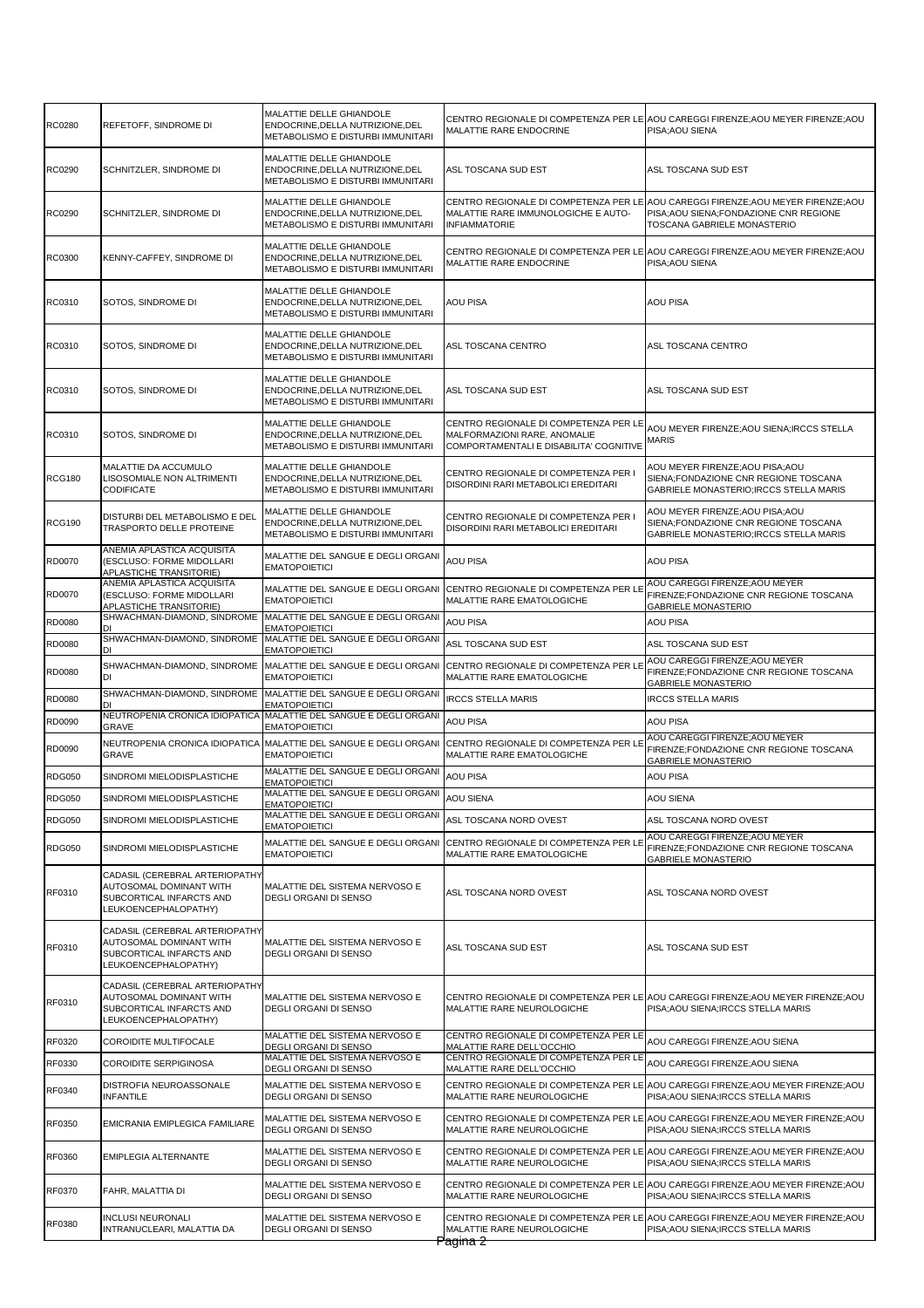| RC0280        | REFETOFF, SINDROME DI                                                                                                | MALATTIE DELLE GHIANDOLE<br>ENDOCRINE, DELLA NUTRIZIONE, DEL<br>METABOLISMO E DISTURBI IMMUNITARI | MALATTIE RARE ENDOCRINE                                                                                          | CENTRO REGIONALE DI COMPETENZA PER LE AOU CAREGGI FIRENZE;AOU MEYER FIRENZE;AOU<br>PISA; AOU SIENA                                                        |
|---------------|----------------------------------------------------------------------------------------------------------------------|---------------------------------------------------------------------------------------------------|------------------------------------------------------------------------------------------------------------------|-----------------------------------------------------------------------------------------------------------------------------------------------------------|
| RC0290        | SCHNITZLER, SINDROME DI                                                                                              | MALATTIE DELLE GHIANDOLE<br>ENDOCRINE, DELLA NUTRIZIONE, DEL<br>METABOLISMO E DISTURBI IMMUNITARI | ASL TOSCANA SUD EST                                                                                              | ASL TOSCANA SUD EST                                                                                                                                       |
| <b>RC0290</b> | SCHNITZLER, SINDROME DI                                                                                              | MALATTIE DELLE GHIANDOLE<br>ENDOCRINE, DELLA NUTRIZIONE, DEL<br>METABOLISMO E DISTURBI IMMUNITARI | MALATTIE RARE IMMUNOLOGICHE E AUTO-<br><b>INFIAMMATORIE</b>                                                      | CENTRO REGIONALE DI COMPETENZA PER LE AOU CAREGGI FIRENZE;AOU MEYER FIRENZE;AOU<br>PISA; AOU SIENA; FONDAZIONE CNR REGIONE<br>TOSCANA GABRIELE MONASTERIO |
| <b>RC0300</b> | KENNY-CAFFEY, SINDROME DI                                                                                            | MALATTIE DELLE GHIANDOLE<br>ENDOCRINE, DELLA NUTRIZIONE, DEL<br>METABOLISMO E DISTURBI IMMUNITARI | MALATTIE RARE ENDOCRINE                                                                                          | CENTRO REGIONALE DI COMPETENZA PER LE AOU CAREGGI FIRENZE;AOU MEYER FIRENZE;AOU<br>PISA; AOU SIENA                                                        |
| RC0310        | SOTOS, SINDROME DI                                                                                                   | MALATTIE DELLE GHIANDOLE<br>ENDOCRINE, DELLA NUTRIZIONE, DEL<br>METABOLISMO E DISTURBI IMMUNITARI | <b>AOU PISA</b>                                                                                                  | <b>AOU PISA</b>                                                                                                                                           |
| RC0310        | SOTOS, SINDROME DI                                                                                                   | MALATTIE DELLE GHIANDOLE<br>ENDOCRINE, DELLA NUTRIZIONE, DEL<br>METABOLISMO E DISTURBI IMMUNITARI | ASL TOSCANA CENTRO                                                                                               | ASL TOSCANA CENTRO                                                                                                                                        |
| RC0310        | SOTOS, SINDROME DI                                                                                                   | MALATTIE DELLE GHIANDOLE<br>ENDOCRINE, DELLA NUTRIZIONE, DEL<br>METABOLISMO E DISTURBI IMMUNITARI | ASL TOSCANA SUD EST                                                                                              | ASL TOSCANA SUD EST                                                                                                                                       |
| RC0310        | SOTOS, SINDROME DI                                                                                                   | MALATTIE DELLE GHIANDOLE<br>ENDOCRINE.DELLA NUTRIZIONE.DEL<br>METABOLISMO E DISTURBI IMMUNITARI   | CENTRO REGIONALE DI COMPETENZA PER LE<br>MALFORMAZIONI RARE, ANOMALIE<br>COMPORTAMENTALI E DISABILITA' COGNITIVE | AOU MEYER FIRENZE; AOU SIENA; IRCCS STELLA<br>MARIS                                                                                                       |
| <b>RCG180</b> | MALATTIE DA ACCUMULO<br>LISOSOMIALE NON ALTRIMENTI<br><b>CODIFICATE</b>                                              | MALATTIE DELLE GHIANDOLE<br>ENDOCRINE, DELLA NUTRIZIONE, DEL<br>METABOLISMO E DISTURBI IMMUNITARI | CENTRO REGIONALE DI COMPETENZA PER I<br>DISORDINI RARI METABOLICI EREDITARI                                      | AOU MEYER FIRENZE; AOU PISA; AOU<br>SIENA;FONDAZIONE CNR REGIONE TOSCANA<br>GABRIELE MONASTERIO; IRCCS STELLA MARIS                                       |
| <b>RCG190</b> | DISTURBI DEL METABOLISMO E DEL<br>TRASPORTO DELLE PROTEINE                                                           | MALATTIE DELLE GHIANDOLE<br>ENDOCRINE, DELLA NUTRIZIONE, DEL<br>METABOLISMO E DISTURBI IMMUNITARI | CENTRO REGIONALE DI COMPETENZA PER I<br>DISORDINI RARI METABOLICI EREDITARI                                      | AOU MEYER FIRENZE; AOU PISA; AOU<br>SIENA;FONDAZIONE CNR REGIONE TOSCANA<br>GABRIELE MONASTERIO; IRCCS STELLA MARIS                                       |
| RD0070        | ANEMIA APLASTICA ACQUISITA<br>(ESCLUSO: FORME MIDOLLARI<br>APLASTICHE TRANSITORIE)                                   | MALATTIE DEL SANGUE E DEGLI ORGANI<br><b>EMATOPOIETICI</b>                                        | AOU PISA                                                                                                         | AOU PISA                                                                                                                                                  |
| RD0070        | ANEMIA APLASTICA ACQUISITA<br>(ESCLUSO: FORME MIDOLLARI<br>APLASTICHE TRANSITORIE)                                   | MALATTIE DEL SANGUE E DEGLI ORGANI<br><b>EMATOPOIETICI</b>                                        | CENTRO REGIONALE DI COMPETENZA PER LE<br>MALATTIE RARE EMATOLOGICHE                                              | AOU CAREGGI FIRENZE; AOU MEYER<br>FIRENZE;FONDAZIONE CNR REGIONE TOSCANA<br><b>GABRIELE MONASTERIO</b>                                                    |
| RD0080        | SHWACHMAN-DIAMOND, SINDROME                                                                                          | MALATTIE DEL SANGUE E DEGLI ORGANI<br><b>EMATOPOIETICI</b>                                        | AOU PISA                                                                                                         | <b>AOU PISA</b>                                                                                                                                           |
| RD0080        | SHWACHMAN-DIAMOND, SINDROME                                                                                          | MALATTIE DEL SANGUE E DEGLI ORGANI<br><b>EMATOPOIETICI</b>                                        | ASL TOSCANA SUD EST                                                                                              | ASL TOSCANA SUD EST                                                                                                                                       |
| RD0080        | SHWACHMAN-DIAMOND, SINDROME<br>DI                                                                                    | MALATTIE DEL SANGUE E DEGLI ORGANI<br><b>EMATOPOIETICI</b>                                        | CENTRO REGIONALE DI COMPETENZA PER LE<br>MALATTIE RARE EMATOLOGICHE                                              | AOU CAREGGI FIRENZE; AOU MEYER<br>FIRENZE;FONDAZIONE CNR REGIONE TOSCANA<br><b>GABRIELE MONASTERIO</b>                                                    |
| RD0080        | SHWACHMAN-DIAMOND, SINDROME                                                                                          | MALATTIE DEL SANGUE E DEGLI ORGANI<br><b>EMATOPOIETICI</b>                                        | <b>IRCCS STELLA MARIS</b>                                                                                        | <b>IRCCS STELLA MARIS</b>                                                                                                                                 |
| RD0090        | NEUTROPENIA CRONICA IDIOPATICA<br>GRAVE                                                                              | MALATTIE DEL SANGUE E DEGLI ORGANI<br><b>EMATOPOIETICI</b>                                        | AOU PISA                                                                                                         | <b>AOU PISA</b>                                                                                                                                           |
| RD0090        | NEUTROPENIA CRONICA IDIOPATICA<br><b>GRAVE</b>                                                                       | MALATTIE DEL SANGUE E DEGLI ORGANI<br><b>EMATOPOIETICI</b>                                        | CENTRO REGIONALE DI COMPETENZA PER LE<br>MALATTIE RARE EMATOLOGICHE                                              | AOU CAREGGI FIRENZE; AOU MEYER<br>FIRENZE;FONDAZIONE CNR REGIONE TOSCANA<br><b>GABRIELE MONASTERIO</b>                                                    |
| <b>RDG050</b> | SINDROMI MIELODISPLASTICHE                                                                                           | MALATTIE DEL SANGUE E DEGLI ORGANI<br><b>EMATOPOIETICI</b>                                        | AOU PISA                                                                                                         | <b>AOU PISA</b>                                                                                                                                           |
| <b>RDG050</b> | SINDROMI MIELODISPLASTICHE                                                                                           | MALATTIE DEL SANGUE E DEGLI ORGANI<br><b>EMATOPOIETICI</b>                                        | AOU SIENA                                                                                                        | AOU SIENA                                                                                                                                                 |
| <b>RDG050</b> | SINDROMI MIELODISPLASTICHE                                                                                           | MALATTIE DEL SANGUE E DEGLI ORGANI<br><b>EMATOPOIETICI</b>                                        | ASL TOSCANA NORD OVEST                                                                                           | ASL TOSCANA NORD OVEST                                                                                                                                    |
| <b>RDG050</b> | SINDROMI MIELODISPLASTICHE                                                                                           | MALATTIE DEL SANGUE E DEGLI ORGANI<br><b>EMATOPOIETICI</b>                                        | CENTRO REGIONALE DI COMPETENZA PER LE<br>MALATTIE RARE EMATOLOGICHE                                              | AOU CAREGGI FIRENZE: AOU MEYER<br>FIRENZE;FONDAZIONE CNR REGIONE TOSCANA<br><b>GABRIELE MONASTERIO</b>                                                    |
| RF0310        | CADASIL (CEREBRAL ARTERIOPATH)<br>AUTOSOMAL DOMINANT WITH<br>SUBCORTICAL INFARCTS AND<br>LEUKOENCEPHALOPATHY)        | MALATTIE DEL SISTEMA NERVOSO E<br>DEGLI ORGANI DI SENSO                                           | ASL TOSCANA NORD OVEST                                                                                           | ASL TOSCANA NORD OVEST                                                                                                                                    |
| RF0310        | CADASIL (CEREBRAL ARTERIOPATH)<br><b>AUTOSOMAL DOMINANT WITH</b><br>SUBCORTICAL INFARCTS AND<br>LEUKOENCEPHALOPATHY) | MALATTIE DEL SISTEMA NERVOSO E<br><b>DEGLI ORGANI DI SENSO</b>                                    | ASL TOSCANA SUD EST                                                                                              | ASL TOSCANA SUD EST                                                                                                                                       |
| RF0310        | CADASIL (CEREBRAL ARTERIOPATHY<br>AUTOSOMAL DOMINANT WITH<br>SUBCORTICAL INFARCTS AND<br>LEUKOENCEPHALOPATHY)        | MALATTIE DEL SISTEMA NERVOSO E<br>DEGLI ORGANI DI SENSO                                           | MALATTIE RARE NEUROLOGICHE                                                                                       | CENTRO REGIONALE DI COMPETENZA PER LE AOU CAREGGI FIRENZE;AOU MEYER FIRENZE;AOU<br>PISA; AOU SIENA; IRCCS STELLA MARIS                                    |
| RF0320        | COROIDITE MULTIFOCALE                                                                                                | MALATTIE DEL SISTEMA NERVOSO E<br>DEGLI ORGANI DI SENSO                                           | CENTRO REGIONALE DI COMPETENZA PER LE<br>MALATTIE RARE DELL'OCCHIO                                               | AOU CAREGGI FIRENZE; AOU SIENA                                                                                                                            |
| RF0330        | <b>COROIDITE SERPIGINOSA</b>                                                                                         | MALATTIE DEL SISTEMA NERVOSO E<br>DEGLI ORGANI DI SENSO                                           | CENTRO REGIONALE DI COMPETENZA PER LE<br>MALATTIE RARE DELL'OCCHIO                                               | AOU CAREGGI FIRENZE; AOU SIENA                                                                                                                            |
| RF0340        | DISTROFIA NEUROASSONALE<br><b>INFANTILE</b>                                                                          | MALATTIE DEL SISTEMA NERVOSO E<br>DEGLI ORGANI DI SENSO                                           | CENTRO REGIONALE DI COMPETENZA PER LE<br>MALATTIE RARE NEUROLOGICHE                                              | AOU CAREGGI FIRENZE; AOU MEYER FIRENZE; AOU<br>PISA; AOU SIENA; IRCCS STELLA MARIS                                                                        |
| RF0350        | EMICRANIA EMIPLEGICA FAMILIARE                                                                                       | MALATTIE DEL SISTEMA NERVOSO E<br>DEGLI ORGANI DI SENSO                                           | MALATTIE RARE NEUROLOGICHE                                                                                       | CENTRO REGIONALE DI COMPETENZA PER LE AOU CAREGGI FIRENZE;AOU MEYER FIRENZE;AOU<br>PISA; AOU SIENA; IRCCS STELLA MARIS                                    |
| RF0360        | EMIPLEGIA ALTERNANTE                                                                                                 | MALATTIE DEL SISTEMA NERVOSO E<br>DEGLI ORGANI DI SENSO                                           | CENTRO REGIONALE DI COMPETENZA PER LE<br>MALATTIE RARE NEUROLOGICHE                                              | AOU CAREGGI FIRENZE; AOU MEYER FIRENZE; AOU<br>PISA; AOU SIENA; IRCCS STELLA MARIS                                                                        |
| RF0370        | FAHR, MALATTIA DI                                                                                                    | MALATTIE DEL SISTEMA NERVOSO E<br>DEGLI ORGANI DI SENSO                                           | MALATTIE RARE NEUROLOGICHE                                                                                       | CENTRO REGIONALE DI COMPETENZA PER LE AOU CAREGGI FIRENZE;AOU MEYER FIRENZE;AOU<br>PISA; AOU SIENA; IRCCS STELLA MARIS                                    |
| RF0380        | <b>INCLUSI NEURONALI</b><br>INTRANUCLEARI, MALATTIA DA                                                               | MALATTIE DEL SISTEMA NERVOSO E<br>DEGLI ORGANI DI SENSO                                           | MALATTIE RARE NEUROLOGICHE<br>Pagina <del>2</del>                                                                | CENTRO REGIONALE DI COMPETENZA PER LE AOU CAREGGI FIRENZE;AOU MEYER FIRENZE;AOU<br>PISA;AOU SIENA;IRCCS STELLA MARIS                                      |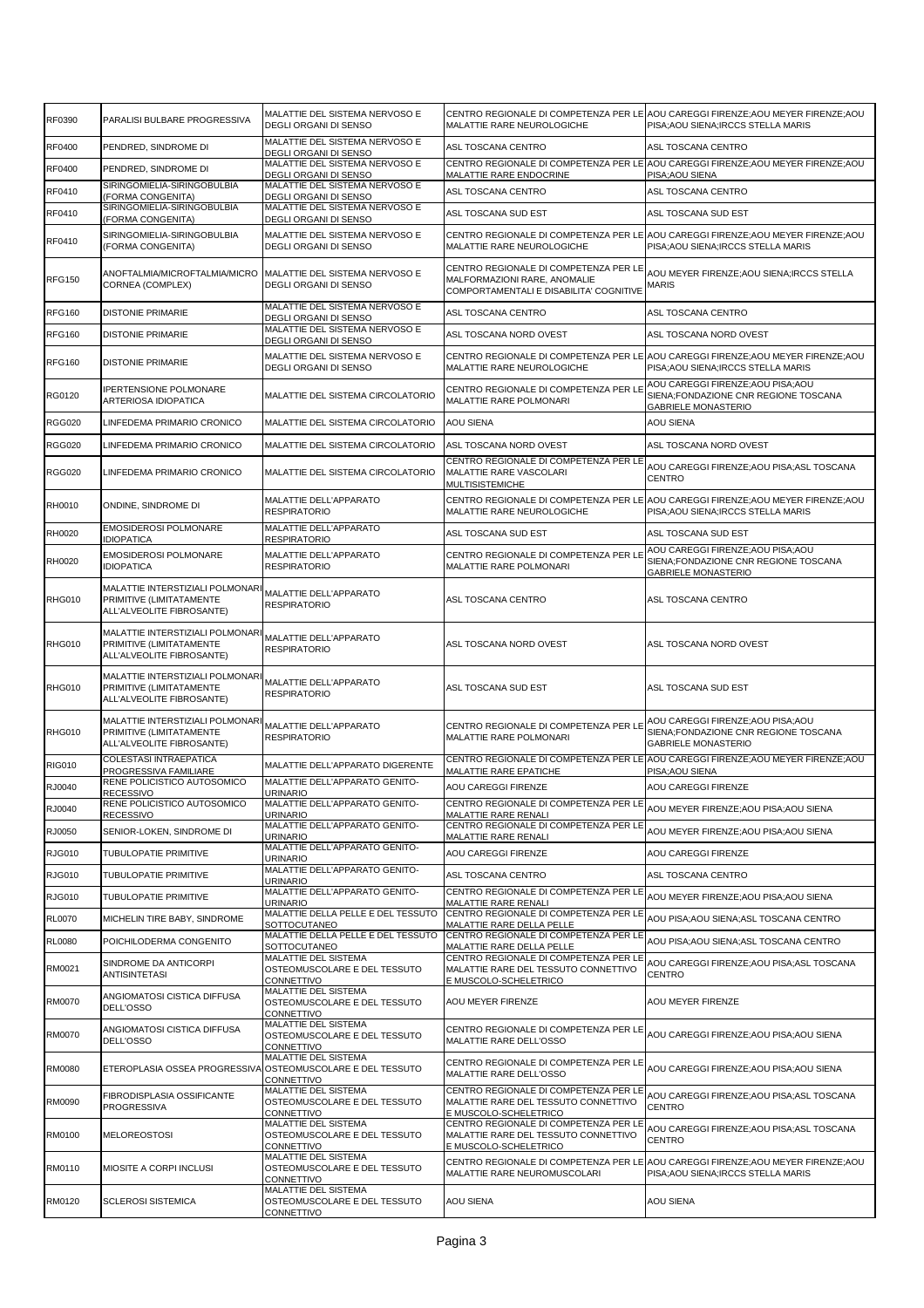| RF0390        | PARALISI BULBARE PROGRESSIVA                                                             | MALATTIE DEL SISTEMA NERVOSO E<br><b>DEGLI ORGANI DI SENSO</b>            | MALATTIE RARE NEUROLOGICHE                                                                                       | CENTRO REGIONALE DI COMPETENZA PER LE AOU CAREGGI FIRENZE;AOU MEYER FIRENZE;AOU<br>PISA: AOU SIENA: IRCCS STELLA MARIS |
|---------------|------------------------------------------------------------------------------------------|---------------------------------------------------------------------------|------------------------------------------------------------------------------------------------------------------|------------------------------------------------------------------------------------------------------------------------|
| RF0400        | PENDRED, SINDROME DI                                                                     | MALATTIE DEL SISTEMA NERVOSO E<br>DEGLI ORGANI DI SENSO                   | ASL TOSCANA CENTRO                                                                                               | ASL TOSCANA CENTRO                                                                                                     |
| RF0400        | PENDRED, SINDROME DI                                                                     | MALATTIE DEL SISTEMA NERVOSO E<br>DEGLI ORGANI DI SENSO                   | MALATTIE RARE ENDOCRINE                                                                                          | CENTRO REGIONALE DI COMPETENZA PER LE AOU CAREGGI FIRENZE;AOU MEYER FIRENZE;AOU<br>PISA; AOU SIENA                     |
| RF0410        | SIRINGOMIELIA-SIRINGOBULBIA<br>(FORMA CONGENITA)                                         | MALATTIE DEL SISTEMA NERVOSO E<br>DEGLI ORGANI DI SENSO                   | ASL TOSCANA CENTRO                                                                                               | ASL TOSCANA CENTRO                                                                                                     |
| RF0410        | SIRINGOMIELIA-SIRINGOBULBIA                                                              | MALATTIE DEL SISTEMA NERVOSO E                                            | ASL TOSCANA SUD EST                                                                                              | ASL TOSCANA SUD EST                                                                                                    |
|               | (FORMA CONGENITA)<br>SIRINGOMIELIA-SIRINGOBULBIA                                         | DEGLI ORGANI DI SENSO<br>MALATTIE DEL SISTEMA NERVOSO E                   |                                                                                                                  | CENTRO REGIONALE DI COMPETENZA PER LE AOU CAREGGI FIRENZE;AOU MEYER FIRENZE;AOU                                        |
| RF0410        | (FORMA CONGENITA)                                                                        | DEGLI ORGANI DI SENSO                                                     | MALATTIE RARE NEUROLOGICHE                                                                                       | PISA; AOU SIENA; IRCCS STELLA MARIS                                                                                    |
| <b>RFG150</b> | ANOFTALMIA/MICROFTALMIA/MICRO<br>CORNEA (COMPLEX)                                        | MALATTIE DEL SISTEMA NERVOSO E<br>DEGLI ORGANI DI SENSO                   | CENTRO REGIONALE DI COMPETENZA PER LE<br>MALFORMAZIONI RARE, ANOMALIE<br>COMPORTAMENTALI E DISABILITA' COGNITIVE | AOU MEYER FIRENZE;AOU SIENA;IRCCS STELLA<br><b>MARIS</b>                                                               |
| <b>RFG160</b> | <b>DISTONIE PRIMARIE</b>                                                                 | MALATTIE DEL SISTEMA NERVOSO E<br>DEGLI ORGANI DI SENSO                   | ASL TOSCANA CENTRO                                                                                               | ASL TOSCANA CENTRO                                                                                                     |
| <b>RFG160</b> | <b>DISTONIE PRIMARIE</b>                                                                 | MALATTIE DEL SISTEMA NERVOSO E<br>DEGLI ORGANI DI SENSO                   | ASL TOSCANA NORD OVEST                                                                                           | ASL TOSCANA NORD OVEST                                                                                                 |
| <b>RFG160</b> | <b>DISTONIE PRIMARIE</b>                                                                 | MALATTIE DEL SISTEMA NERVOSO E<br>DEGLI ORGANI DI SENSO                   | MALATTIE RARE NEUROLOGICHE                                                                                       | CENTRO REGIONALE DI COMPETENZA PER LE AOU CAREGGI FIRENZE;AOU MEYER FIRENZE;AOU<br>PISA; AOU SIENA; IRCCS STELLA MARIS |
| <b>RG0120</b> | <b>IPERTENSIONE POLMONARE</b><br>ARTERIOSA IDIOPATICA                                    | MALATTIE DEL SISTEMA CIRCOLATORIO                                         | CENTRO REGIONALE DI COMPETENZA PER LE<br>MALATTIE RARE POLMONARI                                                 | AOU CAREGGI FIRENZE; AOU PISA; AOU<br>SIENA;FONDAZIONE CNR REGIONE TOSCANA<br><b>GABRIELE MONASTERIO</b>               |
| <b>RGG020</b> | LINFEDEMA PRIMARIO CRONICO                                                               | MALATTIE DEL SISTEMA CIRCOLATORIO                                         | <b>AOU SIENA</b>                                                                                                 | <b>AOU SIENA</b>                                                                                                       |
| <b>RGG020</b> | LINFEDEMA PRIMARIO CRONICO                                                               | MALATTIE DEL SISTEMA CIRCOLATORIO                                         | ASL TOSCANA NORD OVEST                                                                                           | ASL TOSCANA NORD OVEST                                                                                                 |
|               |                                                                                          |                                                                           | CENTRO REGIONALE DI COMPETENZA PER LE                                                                            | AOU CAREGGI FIRENZE; AOU PISA; ASL TOSCANA                                                                             |
| <b>RGG020</b> | LINFEDEMA PRIMARIO CRONICO                                                               | MALATTIE DEL SISTEMA CIRCOLATORIO                                         | MALATTIE RARE VASCOLARI<br><b>MULTISISTEMICHE</b>                                                                | <b>CENTRO</b>                                                                                                          |
| RH0010        | ONDINE, SINDROME DI                                                                      | MALATTIE DELL'APPARATO<br><b>RESPIRATORIO</b>                             | CENTRO REGIONALE DI COMPETENZA PER LE<br>MALATTIE RARE NEUROLOGICHE                                              | AOU CAREGGI FIRENZE; AOU MEYER FIRENZE; AOU<br>PISA; AOU SIENA; IRCCS STELLA MARIS                                     |
| <b>RH0020</b> | <b>EMOSIDEROSI POLMONARE</b><br><b>IDIOPATICA</b>                                        | MALATTIE DELL'APPARATO<br><b>RESPIRATORIO</b>                             | ASL TOSCANA SUD EST                                                                                              | ASL TOSCANA SUD EST                                                                                                    |
| <b>RH0020</b> | <b>EMOSIDEROSI POLMONARE</b><br><b>IDIOPATICA</b>                                        | MALATTIE DELL'APPARATO<br><b>RESPIRATORIO</b>                             | CENTRO REGIONALE DI COMPETENZA PER LE<br>MALATTIE RARE POLMONARI                                                 | AOU CAREGGI FIRENZE; AOU PISA; AOU<br>SIENA;FONDAZIONE CNR REGIONE TOSCANA<br><b>GABRIELE MONASTERIO</b>               |
| <b>RHG010</b> | MALATTIE INTERSTIZIALI POLMONAR<br>PRIMITIVE (LIMITATAMENTE<br>ALL'ALVEOLITE FIBROSANTE) | MALATTIE DELL'APPARATO<br><b>RESPIRATORIO</b>                             | ASL TOSCANA CENTRO                                                                                               | ASL TOSCANA CENTRO                                                                                                     |
| RHG010        | MALATTIE INTERSTIZIALI POLMONAR<br>PRIMITIVE (LIMITATAMENTE<br>ALL'ALVEOLITE FIBROSANTE) | MALATTIE DELL'APPARATO<br><b>RESPIRATORIO</b>                             | ASL TOSCANA NORD OVEST                                                                                           | ASL TOSCANA NORD OVEST                                                                                                 |
| <b>RHG010</b> | MALATTIE INTERSTIZIALI POLMONAR<br>PRIMITIVE (LIMITATAMENTE<br>ALL'ALVEOLITE FIBROSANTE) | MALATTIE DELL'APPARATO<br><b>RESPIRATORIO</b>                             | ASL TOSCANA SUD EST                                                                                              | ASL TOSCANA SUD EST                                                                                                    |
| <b>RHG010</b> | MALATTIE INTERSTIZIALI POLMONAR<br>PRIMITIVE (LIMITATAMENTE<br>ALL'ALVEOLITE FIBROSANTE) | MALATTIE DELL'APPARATO<br><b>RESPIRATORIO</b>                             | CENTRO REGIONALE DI COMPETENZA PER LE<br><b>MALATTIE RARE POLMONARI</b>                                          | AOU CAREGGI FIRENZE;AOU PISA;AOU<br>SIENA;FONDAZIONE CNR REGIONE TOSCANA<br><b>GABRIELE MONASTERIO</b>                 |
| <b>RIG010</b> | COLESTASI INTRAEPATICA<br>PROGRESSIVA FAMILIARE                                          | MALATTIE DELL'APPARATO DIGERENTE                                          | MALATTIE RARE EPATICHE                                                                                           | CENTRO REGIONALE DI COMPETENZA PER LE AOU CAREGGI FIRENZE: AOU MEYER FIRENZE: AOU<br>PISA; AOU SIENA                   |
| RJ0040        | RENE POLICISTICO AUTOSOMICO<br><b>RECESSIVO</b>                                          | MALATTIE DELL'APPARATO GENITO-<br><b>URINARIO</b>                         | AOU CAREGGI FIRENZE                                                                                              | AOU CAREGGI FIRENZE                                                                                                    |
| RJ0040        | RENE POLICISTICO AUTOSOMICO                                                              | MALATTIE DELL'APPARATO GENITO-                                            | CENTRO REGIONALE DI COMPETENZA PER LE AOU MEYER FIRENZE;AOU PISA;AOU SIENA                                       |                                                                                                                        |
| RJ0050        | <b>RECESSIVO</b><br>SENIOR-LOKEN, SINDROME DI                                            | <b>URINARIO</b><br>MALATTIE DELL'APPARATO GENITO-                         | MALATTIE RARE RENALI<br>CENTRO REGIONALE DI COMPETENZA PER LE                                                    | AOU MEYER FIRENZE; AOU PISA; AOU SIENA                                                                                 |
|               |                                                                                          | <b>URINARIO</b><br>MALATTIE DELL'APPARATO GENITO-                         | MALATTIE RARE RENALI                                                                                             |                                                                                                                        |
| <b>RJG010</b> | TUBULOPATIE PRIMITIVE                                                                    | URINARIO<br>MALATTIE DELL'APPARATO GENITO-                                | AOU CAREGGI FIRENZE                                                                                              | AOU CAREGGI FIRENZE                                                                                                    |
| <b>RJG010</b> | TUBULOPATIE PRIMITIVE                                                                    | URINARIO                                                                  | ASL TOSCANA CENTRO                                                                                               | ASL TOSCANA CENTRO                                                                                                     |
| <b>RJG010</b> | TUBULOPATIE PRIMITIVE                                                                    | MALATTIE DELL'APPARATO GENITO-<br>URINARIO                                | CENTRO REGIONALE DI COMPETENZA PER LE<br>MALATTIE RARE RENALI                                                    | AOU MEYER FIRENZE; AOU PISA; AOU SIENA                                                                                 |
| <b>RL0070</b> | MICHELIN TIRE BABY, SINDROME                                                             | MALATTIE DELLA PELLE E DEL TESSUTO<br><b>SOTTOCUTANEO</b>                 | CENTRO REGIONALE DI COMPETENZA PER LE<br>MALATTIE RARE DELLA PELLE                                               | AOU PISA; AOU SIENA; ASL TOSCANA CENTRO                                                                                |
| <b>RL0080</b> | POICHILODERMA CONGENITO                                                                  | MALATTIE DELLA PELLE E DEL TESSUTO<br>SOTTOCUTANEO                        | CENTRO REGIONALE DI COMPETENZA PER LE<br>MALATTIE RARE DELLA PELLE                                               | AOU PISA:AOU SIENA:ASL TOSCANA CENTRO                                                                                  |
| RM0021        | SINDROME DA ANTICORPI<br><b>ANTISINTETASI</b>                                            | MALATTIE DEL SISTEMA<br>OSTEOMUSCOLARE E DEL TESSUTO<br>CONNETTIVO        | CENTRO REGIONALE DI COMPETENZA PER LE<br>MALATTIE RARE DEL TESSUTO CONNETTIVO<br>E MUSCOLO-SCHELETRICO           | AOU CAREGGI FIRENZE;AOU PISA;ASL TOSCANA<br>CENTRO                                                                     |
| <b>RM0070</b> | ANGIOMATOSI CISTICA DIFFUSA<br>DELL'OSSO                                                 | MALATTIE DEL SISTEMA<br>OSTEOMUSCOLARE E DEL TESSUTO<br>CONNETTIVO        | AOU MEYER FIRENZE                                                                                                | AOU MEYER FIRENZE                                                                                                      |
| RM0070        | ANGIOMATOSI CISTICA DIFFUSA<br>DELL'OSSO                                                 | MALATTIE DEL SISTEMA<br>OSTEOMUSCOLARE E DEL TESSUTO<br>CONNETTIVO        | CENTRO REGIONALE DI COMPETENZA PER LE AOU CAREGGI FIRENZE;AOU PISA;AOU SIENA<br>MALATTIE RARE DELL'OSSO          |                                                                                                                        |
| RM0080        | ETEROPLASIA OSSEA PROGRESSIVA                                                            | MALATTIE DEL SISTEMA<br>OSTEOMUSCOLARE E DEL TESSUTO<br>CONNETTIVO        | CENTRO REGIONALE DI COMPETENZA PER LE<br>MALATTIE RARE DELL'OSSO                                                 | AOU CAREGGI FIRENZE; AOU PISA; AOU SIENA                                                                               |
| RM0090        | FIBRODISPLASIA OSSIFICANTE<br>PROGRESSIVA                                                | <b>MALATTIE DEL SISTEMA</b><br>OSTEOMUSCOLARE E DEL TESSUTO<br>CONNETTIVO | CENTRO REGIONALE DI COMPETENZA PER LE<br>MALATTIE RARE DEL TESSUTO CONNETTIVO<br>E MUSCOLO-SCHELETRICO           | AOU CAREGGI FIRENZE;AOU PISA;ASL TOSCANA<br><b>CENTRO</b>                                                              |
| RM0100        | <b>MELOREOSTOSI</b>                                                                      | MALATTIE DEL SISTEMA<br>OSTEOMUSCOLARE E DEL TESSUTO<br>CONNETTIVO        | CENTRO REGIONALE DI COMPETENZA PER LE<br>MALATTIE RARE DEL TESSUTO CONNETTIVO<br>E MUSCOLO-SCHELETRICO           | AOU CAREGGI FIRENZE;AOU PISA;ASL TOSCANA<br>CENTRO                                                                     |
| RM0110        | MIOSITE A CORPI INCLUSI                                                                  | MALATTIE DEL SISTEMA<br>OSTEOMUSCOLARE E DEL TESSUTO<br>CONNETTIVO        | CENTRO REGIONALE DI COMPETENZA PER LE<br>MALATTIE RARE NEUROMUSCOLARI                                            | AOU CAREGGI FIRENZE; AOU MEYER FIRENZE; AOU<br>PISA; AOU SIENA; IRCCS STELLA MARIS                                     |
| RM0120        | <b>SCLEROSI SISTEMICA</b>                                                                | MALATTIE DEL SISTEMA<br>OSTEOMUSCOLARE E DEL TESSUTO<br>CONNETTIVO        | <b>AOU SIENA</b>                                                                                                 | <b>AOU SIENA</b>                                                                                                       |
|               |                                                                                          |                                                                           |                                                                                                                  |                                                                                                                        |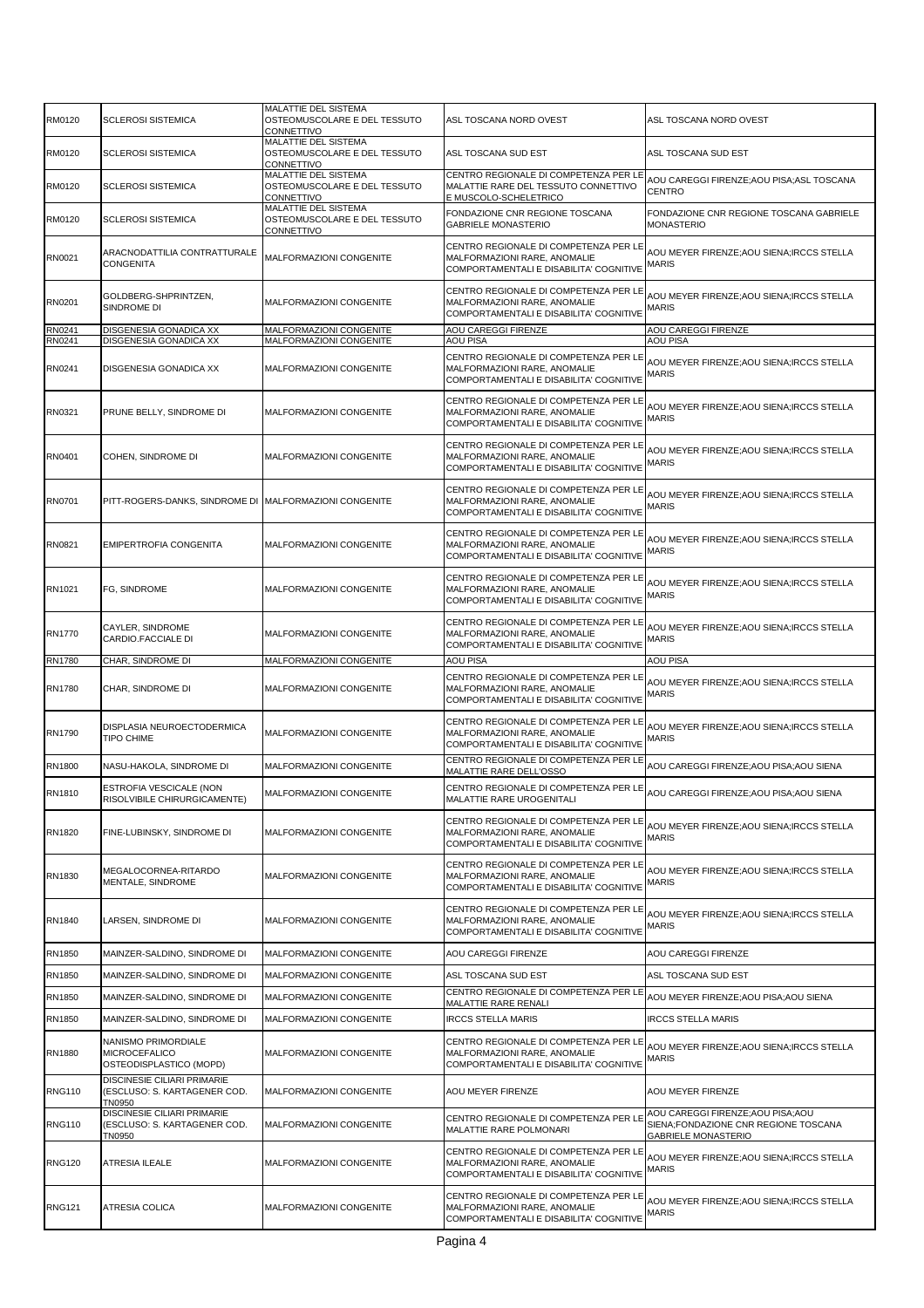| RM0120           | <b>SCLEROSI SISTEMICA</b>                                                    | MALATTIE DEL SISTEMA<br>OSTEOMUSCOLARE E DEL TESSUTO<br>CONNETTIVO | ASL TOSCANA NORD OVEST                                                                                           | ASL TOSCANA NORD OVEST                                                                                 |
|------------------|------------------------------------------------------------------------------|--------------------------------------------------------------------|------------------------------------------------------------------------------------------------------------------|--------------------------------------------------------------------------------------------------------|
| RM0120           | <b>SCLEROSI SISTEMICA</b>                                                    | MALATTIE DEL SISTEMA<br>OSTEOMUSCOLARE E DEL TESSUTO<br>CONNETTIVO | ASL TOSCANA SUD EST                                                                                              | ASL TOSCANA SUD EST                                                                                    |
| RM0120           | <b>SCLEROSI SISTEMICA</b>                                                    | MALATTIE DEL SISTEMA<br>OSTEOMUSCOLARE E DEL TESSUTO<br>CONNETTIVO | CENTRO REGIONALE DI COMPETENZA PER LE<br>MALATTIE RARE DEL TESSUTO CONNETTIVO<br>E MUSCOLO-SCHELETRICO           | AOU CAREGGI FIRENZE;AOU PISA;ASL TOSCANA<br><b>CENTRO</b>                                              |
| RM0120           | <b>SCLEROSI SISTEMICA</b>                                                    | MALATTIE DEL SISTEMA<br>OSTEOMUSCOLARE E DEL TESSUTO<br>CONNETTIVO | FONDAZIONE CNR REGIONE TOSCANA<br><b>GABRIELE MONASTERIO</b>                                                     | FONDAZIONE CNR REGIONE TOSCANA GABRIELE<br>MONASTERIO                                                  |
| RN0021           | ARACNODATTILIA CONTRATTURALE<br>CONGENITA                                    | MALFORMAZIONI CONGENITE                                            | CENTRO REGIONALE DI COMPETENZA PER LE<br>MALFORMAZIONI RARE. ANOMALIE<br>COMPORTAMENTALI E DISABILITA' COGNITIVE | AOU MEYER FIRENZE;AOU SIENA;IRCCS STELLA<br>MARIS                                                      |
| RN0201           | GOLDBERG-SHPRINTZEN,<br>SINDROME DI                                          | MALFORMAZIONI CONGENITE                                            | CENTRO REGIONALE DI COMPETENZA PER LE<br>MALFORMAZIONI RARE, ANOMALIE<br>COMPORTAMENTALI E DISABILITA' COGNITIVE | AOU MEYER FIRENZE;AOU SIENA;IRCCS STELLA<br>MARIS                                                      |
| RN0241<br>RN0241 | DISGENESIA GONADICA XX<br>DISGENESIA GONADICA XX                             | MALFORMAZIONI CONGENITE<br>MALFORMAZIONI CONGENITE                 | <b>AOU CAREGGI FIRENZE</b><br><b>AOU PISA</b>                                                                    | AOU CAREGGI FIRENZE<br><b>AOU PISA</b>                                                                 |
| RN0241           | DISGENESIA GONADICA XX                                                       | MALFORMAZIONI CONGENITE                                            | CENTRO REGIONALE DI COMPETENZA PER LE<br>MALFORMAZIONI RARE, ANOMALIE<br>COMPORTAMENTALI E DISABILITA' COGNITIVE | AOU MEYER FIRENZE;AOU SIENA;IRCCS STELLA<br>MARIS                                                      |
| RN0321           | PRUNE BELLY, SINDROME DI                                                     | MALFORMAZIONI CONGENITE                                            | CENTRO REGIONALE DI COMPETENZA PER LE<br>MALFORMAZIONI RARE, ANOMALIE<br>COMPORTAMENTALI E DISABILITA' COGNITIVE | AOU MEYER FIRENZE;AOU SIENA;IRCCS STELLA<br>MARIS                                                      |
| RN0401           | COHEN, SINDROME DI                                                           | MALFORMAZIONI CONGENITE                                            | CENTRO REGIONALE DI COMPETENZA PER LE<br>MALFORMAZIONI RARE, ANOMALIE<br>COMPORTAMENTALI E DISABILITA' COGNITIVE | AOU MEYER FIRENZE;AOU SIENA;IRCCS STELLA<br>MARIS                                                      |
| RN0701           | PITT-ROGERS-DANKS, SINDROME DI MALFORMAZIONI CONGENITE                       |                                                                    | CENTRO REGIONALE DI COMPETENZA PER LE<br>MALFORMAZIONI RARE, ANOMALIE<br>COMPORTAMENTALI E DISABILITA' COGNITIVE | AOU MEYER FIRENZE;AOU SIENA;IRCCS STELLA<br>MARIS                                                      |
| RN0821           | EMIPERTROFIA CONGENITA                                                       | MALFORMAZIONI CONGENITE                                            | CENTRO REGIONALE DI COMPETENZA PER LE<br>MALFORMAZIONI RARE, ANOMALIE<br>COMPORTAMENTALI E DISABILITA' COGNITIVE | AOU MEYER FIRENZE;AOU SIENA;IRCCS STELLA<br>MARIS                                                      |
| RN1021           | FG, SINDROME                                                                 | MALFORMAZIONI CONGENITE                                            | CENTRO REGIONALE DI COMPETENZA PER LE<br>MALFORMAZIONI RARE, ANOMALIE<br>COMPORTAMENTALI E DISABILITA' COGNITIVE | AOU MEYER FIRENZE;AOU SIENA;IRCCS STELLA<br><b>MARIS</b>                                               |
| RN1770           | CAYLER, SINDROME<br>CARDIO.FACCIALE DI                                       | MALFORMAZIONI CONGENITE                                            | CENTRO REGIONALE DI COMPETENZA PER LE<br>MALFORMAZIONI RARE, ANOMALIE<br>COMPORTAMENTALI E DISABILITA' COGNITIVE | AOU MEYER FIRENZE;AOU SIENA;IRCCS STELLA<br><b>MARIS</b>                                               |
| <b>RN1780</b>    | CHAR, SINDROME DI                                                            | MALFORMAZIONI CONGENITE                                            | <b>AOU PISA</b>                                                                                                  | <b>AOU PISA</b>                                                                                        |
| <b>RN1780</b>    | CHAR, SINDROME DI                                                            | MALFORMAZIONI CONGENITE                                            | CENTRO REGIONALE DI COMPETENZA PER LE<br>MALFORMAZIONI RARE, ANOMALIE<br>COMPORTAMENTALI E DISABILITA' COGNITIVE | AOU MEYER FIRENZE;AOU SIENA;IRCCS STELLA<br>MARIS                                                      |
| RN1790           | DISPLASIA NEUROECTODERMICA<br>TIPO CHIME                                     | MALFORMAZIONI CONGENITE                                            | CENTRO REGIONALE DI COMPETENZA PER LE<br>MALFORMAZIONI RARE, ANOMALIE<br>COMPORTAMENTALI E DISABILITA' COGNITIVE | AOU MEYER FIRENZE;AOU SIENA;IRCCS STELLA<br>MARIS                                                      |
| RN1800           | NASU-HAKOLA, SINDROME DI                                                     | MALFORMAZIONI CONGENITE                                            | CENTRO REGIONALE DI COMPETENZA PER LE<br>MALATTIE RARE DELL'OSSO                                                 | AOU CAREGGI FIRENZE;AOU PISA;AOU SIENA                                                                 |
| RN1810           | ESTROFIA VESCICALE (NON<br>RISOLVIBILE CHIRURGICAMENTE)                      | MALFORMAZIONI CONGENITE                                            | CENTRO REGIONALE DI COMPETENZA PER LE<br>MALATTIE RARE UROGENITALI                                               | AOU CAREGGI FIRENZE; AOU PISA; AOU SIENA                                                               |
| RN1820           | FINE-LUBINSKY, SINDROME DI                                                   | MALFORMAZIONI CONGENITE                                            | CENTRO REGIONALE DI COMPETENZA PER LE<br>MALFORMAZIONI RARE, ANOMALIE<br>COMPORTAMENTALI E DISABILITA' COGNITIVE | AOU MEYER FIRENZE;AOU SIENA;IRCCS STELLA<br>MARIS                                                      |
| RN1830           | MEGALOCORNEA-RITARDO<br>MENTALE, SINDROME                                    | MALFORMAZIONI CONGENITE                                            | CENTRO REGIONALE DI COMPETENZA PER LE<br>MALFORMAZIONI RARE, ANOMALIE<br>COMPORTAMENTALI E DISABILITA' COGNITIVE | AOU MEYER FIRENZE; AOU SIENA; IRCCS STELLA<br>MARIS                                                    |
| RN1840           | LARSEN, SINDROME DI                                                          | MALFORMAZIONI CONGENITE                                            | CENTRO REGIONALE DI COMPETENZA PER LE<br>MALFORMAZIONI RARE, ANOMALIE<br>COMPORTAMENTALI E DISABILITA' COGNITIVE | AOU MEYER FIRENZE;AOU SIENA;IRCCS STELLA<br>MARIS                                                      |
| RN1850           | MAINZER-SALDINO, SINDROME DI                                                 | MALFORMAZIONI CONGENITE                                            | AOU CAREGGI FIRENZE                                                                                              | AOU CAREGGI FIRENZE                                                                                    |
| RN1850           | MAINZER-SALDINO, SINDROME DI                                                 | MALFORMAZIONI CONGENITE                                            | ASL TOSCANA SUD EST                                                                                              | ASL TOSCANA SUD EST                                                                                    |
| RN1850           | MAINZER-SALDINO, SINDROME DI                                                 | MALFORMAZIONI CONGENITE                                            | CENTRO REGIONALE DI COMPETENZA PER LE<br>MALATTIE RARE RENALI                                                    | AOU MEYER FIRENZE;AOU PISA;AOU SIENA                                                                   |
| RN1850           | MAINZER-SALDINO, SINDROME DI                                                 | MALFORMAZIONI CONGENITE                                            | <b>IRCCS STELLA MARIS</b>                                                                                        | <b>IRCCS STELLA MARIS</b>                                                                              |
| RN1880           | NANISMO PRIMORDIALE<br>MICROCEFALICO<br>OSTEODISPLASTICO (MOPD)              | MALFORMAZIONI CONGENITE                                            | CENTRO REGIONALE DI COMPETENZA PER LE<br>MALFORMAZIONI RARE, ANOMALIE<br>COMPORTAMENTALI E DISABILITA' COGNITIVE | AOU MEYER FIRENZE;AOU SIENA;IRCCS STELLA<br>MARIS                                                      |
| <b>RNG110</b>    | DISCINESIE CILIARI PRIMARIE<br>(ESCLUSO: S. KARTAGENER COD.<br><b>TN0950</b> | MALFORMAZIONI CONGENITE                                            | AOU MEYER FIRENZE                                                                                                | AOU MEYER FIRENZE                                                                                      |
| <b>RNG110</b>    | DISCINESIE CILIARI PRIMARIE<br>(ESCLUSO: S. KARTAGENER COD.<br>TN0950        | MALFORMAZIONI CONGENITE                                            | CENTRO REGIONALE DI COMPETENZA PER LE<br>MALATTIE RARE POLMONARI                                                 | AOU CAREGGI FIRENZE;AOU PISA;AOU<br>SIENA;FONDAZIONE CNR REGIONE TOSCANA<br><b>GABRIELE MONASTERIO</b> |
| <b>RNG120</b>    | ATRESIA ILEALE                                                               | MALFORMAZIONI CONGENITE                                            | CENTRO REGIONALE DI COMPETENZA PER LE<br>MALFORMAZIONI RARE, ANOMALIE<br>COMPORTAMENTALI E DISABILITA' COGNITIVE | AOU MEYER FIRENZE;AOU SIENA;IRCCS STELLA<br>MARIS                                                      |
| <b>RNG121</b>    | ATRESIA COLICA                                                               | MALFORMAZIONI CONGENITE                                            | CENTRO REGIONALE DI COMPETENZA PER LE<br>MALFORMAZIONI RARE, ANOMALIE<br>COMPORTAMENTALI E DISABILITA' COGNITIVE | AOU MEYER FIRENZE;AOU SIENA;IRCCS STELLA<br>MARIS                                                      |